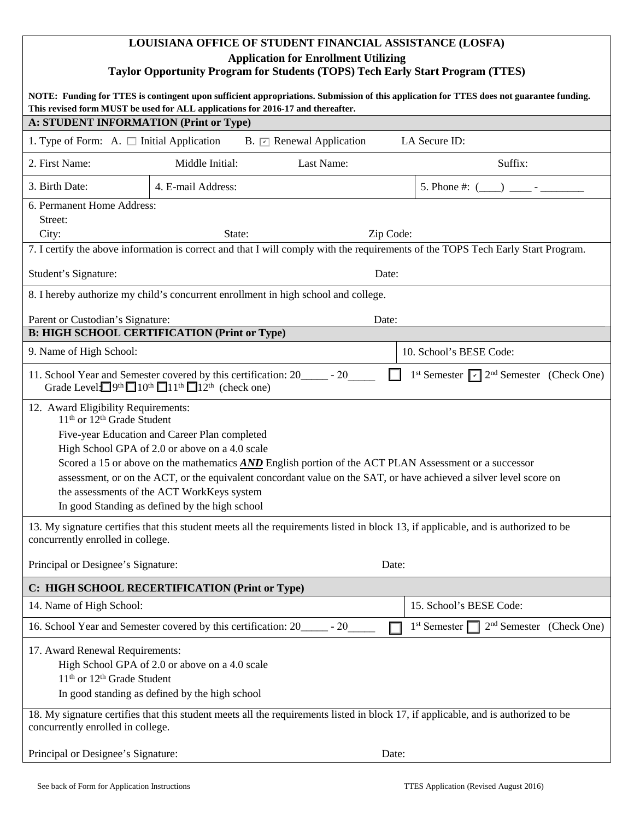# **LOUISIANA OFFICE OF STUDENT FINANCIAL ASSISTANCE (LOSFA) Application for Enrollment Utilizing Taylor Opportunity Program for Students (TOPS) Tech Early Start Program (TTES)**

| NOTE: Funding for TTES is contingent upon sufficient appropriations. Submission of this application for TTES does not guarantee funding.<br>This revised form MUST be used for ALL applications for 2016-17 and thereafter.                                                                                                                                                                                                                                                                                                        |                    |            |           |                                                        |  |
|------------------------------------------------------------------------------------------------------------------------------------------------------------------------------------------------------------------------------------------------------------------------------------------------------------------------------------------------------------------------------------------------------------------------------------------------------------------------------------------------------------------------------------|--------------------|------------|-----------|--------------------------------------------------------|--|
| A: STUDENT INFORMATION (Print or Type)                                                                                                                                                                                                                                                                                                                                                                                                                                                                                             |                    |            |           |                                                        |  |
| LA Secure ID:<br>1. Type of Form: A. $\Box$ Initial Application<br>B. $\boxed{\sim}$ Renewal Application                                                                                                                                                                                                                                                                                                                                                                                                                           |                    |            |           |                                                        |  |
| 2. First Name:                                                                                                                                                                                                                                                                                                                                                                                                                                                                                                                     | Middle Initial:    | Last Name: |           | Suffix:                                                |  |
| 3. Birth Date:                                                                                                                                                                                                                                                                                                                                                                                                                                                                                                                     | 4. E-mail Address: |            |           | 5. Phone #: $($ )                                      |  |
| 6. Permanent Home Address:<br>Street:<br>City:                                                                                                                                                                                                                                                                                                                                                                                                                                                                                     | State:             |            | Zip Code: |                                                        |  |
| 7. I certify the above information is correct and that I will comply with the requirements of the TOPS Tech Early Start Program.                                                                                                                                                                                                                                                                                                                                                                                                   |                    |            |           |                                                        |  |
| Student's Signature:                                                                                                                                                                                                                                                                                                                                                                                                                                                                                                               |                    |            | Date:     |                                                        |  |
| 8. I hereby authorize my child's concurrent enrollment in high school and college.                                                                                                                                                                                                                                                                                                                                                                                                                                                 |                    |            |           |                                                        |  |
| Parent or Custodian's Signature:<br>Date:                                                                                                                                                                                                                                                                                                                                                                                                                                                                                          |                    |            |           |                                                        |  |
| <b>B: HIGH SCHOOL CERTIFICATION (Print or Type)</b>                                                                                                                                                                                                                                                                                                                                                                                                                                                                                |                    |            |           |                                                        |  |
| 9. Name of High School:                                                                                                                                                                                                                                                                                                                                                                                                                                                                                                            |                    |            |           | 10. School's BESE Code:                                |  |
| 11. School Year and Semester covered by this certification: 20 ______ - 20<br>1 <sup>st</sup> Semester $\boxed{\checkmark}$ 2 <sup>nd</sup> Semester (Check One)<br>Grade Level $\Box$ 9 <sup>th</sup> $\Box$ 10 <sup>th</sup> $\Box$ 11 <sup>th</sup> $\Box$ 12 <sup>th</sup> (check one)                                                                                                                                                                                                                                         |                    |            |           |                                                        |  |
| 12. Award Eligibility Requirements:<br>11 <sup>th</sup> or 12 <sup>th</sup> Grade Student<br>Five-year Education and Career Plan completed<br>High School GPA of 2.0 or above on a 4.0 scale<br>Scored a 15 or above on the mathematics <b>AND</b> English portion of the ACT PLAN Assessment or a successor<br>assessment, or on the ACT, or the equivalent concordant value on the SAT, or have achieved a silver level score on<br>the assessments of the ACT WorkKeys system<br>In good Standing as defined by the high school |                    |            |           |                                                        |  |
| 13. My signature certifies that this student meets all the requirements listed in block 13, if applicable, and is authorized to be<br>concurrently enrolled in college.                                                                                                                                                                                                                                                                                                                                                            |                    |            |           |                                                        |  |
| Principal or Designee's Signature:                                                                                                                                                                                                                                                                                                                                                                                                                                                                                                 |                    |            | Date:     |                                                        |  |
| C: HIGH SCHOOL RECERTIFICATION (Print or Type)                                                                                                                                                                                                                                                                                                                                                                                                                                                                                     |                    |            |           |                                                        |  |
| 14. Name of High School:                                                                                                                                                                                                                                                                                                                                                                                                                                                                                                           |                    |            |           | 15. School's BESE Code:                                |  |
| 16. School Year and Semester covered by this certification: 20______ - 20                                                                                                                                                                                                                                                                                                                                                                                                                                                          |                    |            |           | $2nd$ Semester (Check One)<br>1 <sup>st</sup> Semester |  |
| 17. Award Renewal Requirements:<br>High School GPA of 2.0 or above on a 4.0 scale<br>11 <sup>th</sup> or 12 <sup>th</sup> Grade Student<br>In good standing as defined by the high school                                                                                                                                                                                                                                                                                                                                          |                    |            |           |                                                        |  |
| 18. My signature certifies that this student meets all the requirements listed in block 17, if applicable, and is authorized to be<br>concurrently enrolled in college.                                                                                                                                                                                                                                                                                                                                                            |                    |            |           |                                                        |  |
| Principal or Designee's Signature:                                                                                                                                                                                                                                                                                                                                                                                                                                                                                                 |                    |            | Date:     |                                                        |  |